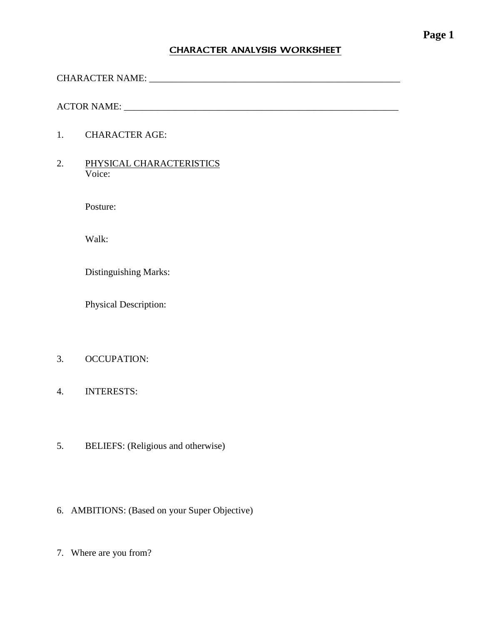#### CHARACTER ANALYSIS WORKSHEET

CHARACTER NAME: \_\_\_\_\_\_\_\_\_\_\_\_\_\_\_\_\_\_\_\_\_\_\_\_\_\_\_\_\_\_\_\_\_\_\_\_\_\_\_\_\_\_\_\_\_\_\_\_\_\_\_\_\_

ACTOR NAME: \_\_\_\_\_\_\_\_\_\_\_\_\_\_\_\_\_\_\_\_\_\_\_\_\_\_\_\_\_\_\_\_\_\_\_\_\_\_\_\_\_\_\_\_\_\_\_\_\_\_\_\_\_\_\_\_\_\_

- 1. CHARACTER AGE:
- 2. PHYSICAL CHARACTERISTICS Voice:

Posture:

Walk:

Distinguishing Marks:

Physical Description:

- 3. OCCUPATION:
- 4. INTERESTS:
- 5. BELIEFS: (Religious and otherwise)
- 6. AMBITIONS: (Based on your Super Objective)
- 7. Where are you from?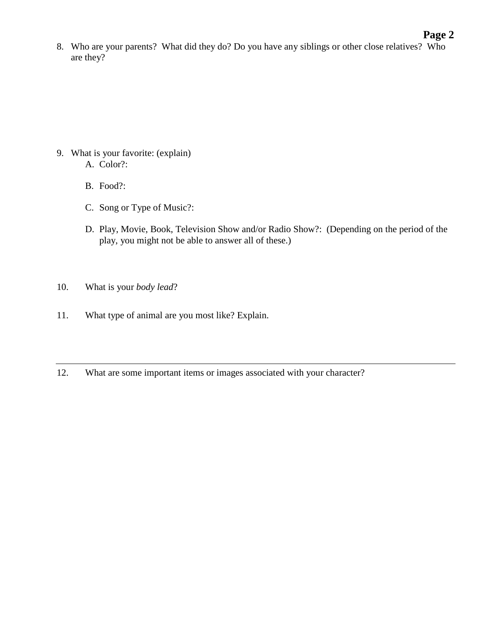#### **Page 2**

8. Who are your parents? What did they do? Do you have any siblings or other close relatives? Who are they?

- 9. What is your favorite: (explain) A. Color?:
	- B. Food?:
	- C. Song or Type of Music?:
	- D. Play, Movie, Book, Television Show and/or Radio Show?: (Depending on the period of the play, you might not be able to answer all of these.)
- 10. What is your *body lead*?
- 11. What type of animal are you most like? Explain.
- 12. What are some important items or images associated with your character?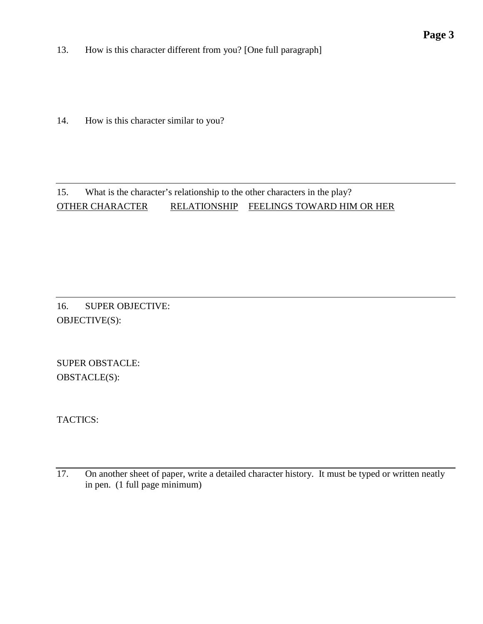13. How is this character different from you? [One full paragraph]

14. How is this character similar to you?

#### 15. What is the character's relationship to the other characters in the play? OTHER CHARACTER RELATIONSHIP FEELINGS TOWARD HIM OR HER

16. SUPER OBJECTIVE: OBJECTIVE(S):

SUPER OBSTACLE: OBSTACLE(S):

TACTICS:

<sup>17.</sup> On another sheet of paper, write a detailed character history. It must be typed or written neatly in pen. (1 full page minimum)